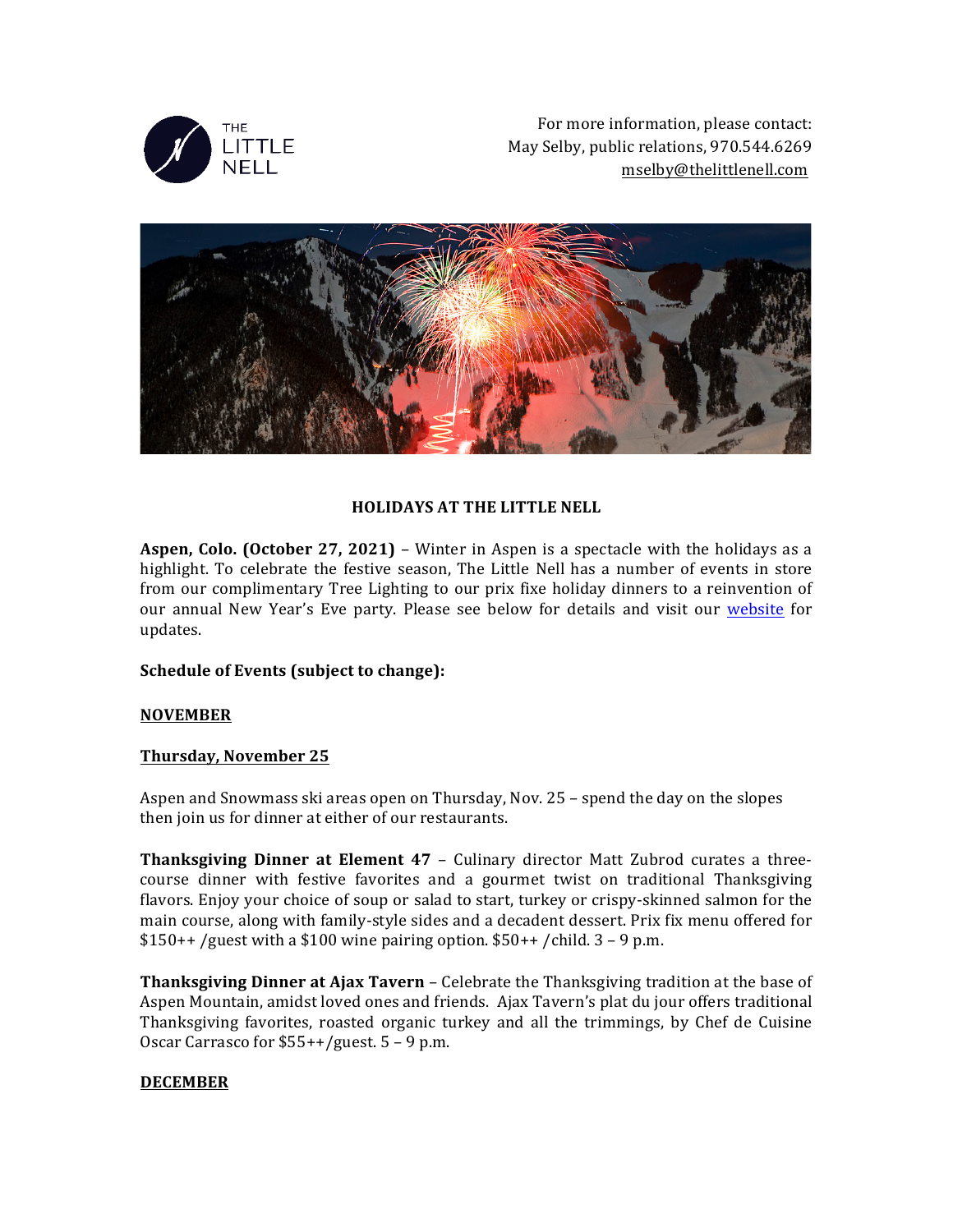

For more information, please contact: May Selby, public relations, 970.544.6269 mselby@thelittlenell.com



# **HOLIDAYS AT THE LITTLE NELL**

**Aspen, Colo. (October 27, 2021)** – Winter in Aspen is a spectacle with the holidays as a highlight. To celebrate the festive season, The Little Nell has a number of events in store from our complimentary Tree Lighting to our prix fixe holiday dinners to a reinvention of our annual New Year's Eve party. Please see below for details and visit our website for updates.

## **Schedule of Events (subject to change):**

## **NOVEMBER**

## **Thursday, November 25**

Aspen and Snowmass ski areas open on Thursday, Nov. 25 – spend the day on the slopes then join us for dinner at either of our restaurants.

**Thanksgiving Dinner at Element 47** – Culinary director Matt Zubrod curates a threecourse dinner with festive favorites and a gourmet twist on traditional Thanksgiving flavors. Enjoy your choice of soup or salad to start, turkey or crispy-skinned salmon for the main course, along with family-style sides and a decadent dessert. Prix fix menu offered for  $$150++$  /guest with a \$100 wine pairing option.  $$50++$  /child. 3 - 9 p.m.

**Thanksgiving Dinner at Ajax Tavern** – Celebrate the Thanksgiving tradition at the base of Aspen Mountain, amidst loved ones and friends. Ajax Tavern's plat du jour offers traditional Thanksgiving favorites, roasted organic turkey and all the trimmings, by Chef de Cuisine Oscar Carrasco for  $$55++/guest. 5 - 9 p.m.$ 

## **DECEMBER**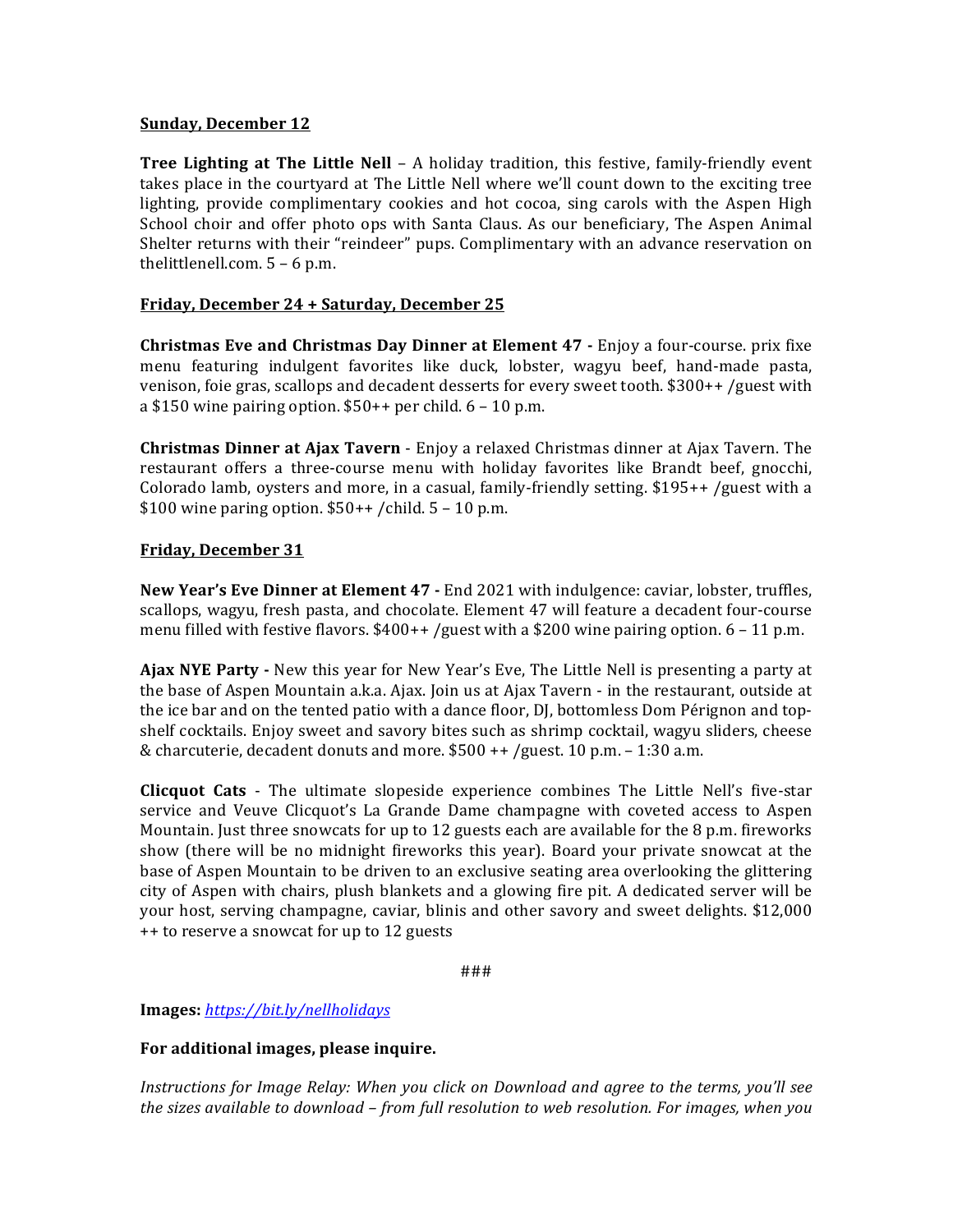## **Sunday, December 12**

**Tree Lighting at The Little Nell** – A holiday tradition, this festive, family-friendly event takes place in the courtyard at The Little Nell where we'll count down to the exciting tree lighting, provide complimentary cookies and hot cocoa, sing carols with the Aspen High School choir and offer photo ops with Santa Claus. As our beneficiary, The Aspen Animal Shelter returns with their "reindeer" pups. Complimentary with an advance reservation on thelittlenell.com.  $5 - 6$  p.m.

## **Friday, December 24 + Saturday, December 25**

**Christmas Eve and Christmas Day Dinner at Element 47 - Enjoy a four-course. prix fixe** menu featuring indulgent favorites like duck, lobster, wagyu beef, hand-made pasta, venison, foie gras, scallops and decadent desserts for every sweet tooth.  $$300++$  /guest with a \$150 wine pairing option.  $$50++$  per child.  $6 - 10$  p.m.

**Christmas Dinner at Ajax Tavern** - Enjoy a relaxed Christmas dinner at Ajax Tavern. The restaurant offers a three-course menu with holiday favorites like Brandt beef, gnocchi, Colorado lamb, oysters and more, in a casual, family-friendly setting.  $$195++$  /guest with a \$100 wine paring option.  $$50++$  /child.  $5-10$  p.m.

#### **Friday, December 31**

**New Year's Eve Dinner at Element 47 -** End 2021 with indulgence: caviar, lobster, truffles, scallops, wagyu, fresh pasta, and chocolate. Element 47 will feature a decadent four-course menu filled with festive flavors.  $$400++$  /guest with a \$200 wine pairing option. 6 - 11 p.m.

**Ajax NYE Party** - New this year for New Year's Eve, The Little Nell is presenting a party at the base of Aspen Mountain a.k.a. Ajax. Join us at Ajax Tavern - in the restaurant, outside at the ice bar and on the tented patio with a dance floor, DJ, bottomless Dom Pérignon and topshelf cocktails. Enjoy sweet and savory bites such as shrimp cocktail, wagyu sliders, cheese & charcuterie, decadent donuts and more.  $$500$  ++ /guest. 10 p.m. - 1:30 a.m.

**Clicquot Cats** - The ultimate slopeside experience combines The Little Nell's five-star service and Veuve Clicquot's La Grande Dame champagne with coveted access to Aspen Mountain. Just three snowcats for up to 12 guests each are available for the  $8$  p.m. fireworks show (there will be no midnight fireworks this year). Board your private snowcat at the base of Aspen Mountain to be driven to an exclusive seating area overlooking the glittering city of Aspen with chairs, plush blankets and a glowing fire pit. A dedicated server will be your host, serving champagne, caviar, blinis and other savory and sweet delights. \$12,000 ++ to reserve a snowcat for up to 12 guests

###

**Images:** *https://bit.ly/nellholidays*

## For additional images, please inquire.

*Instructions for Image Relay: When you click on Download and agree to the terms, you'll see* the sizes available to download – from full resolution to web resolution. For images, when you